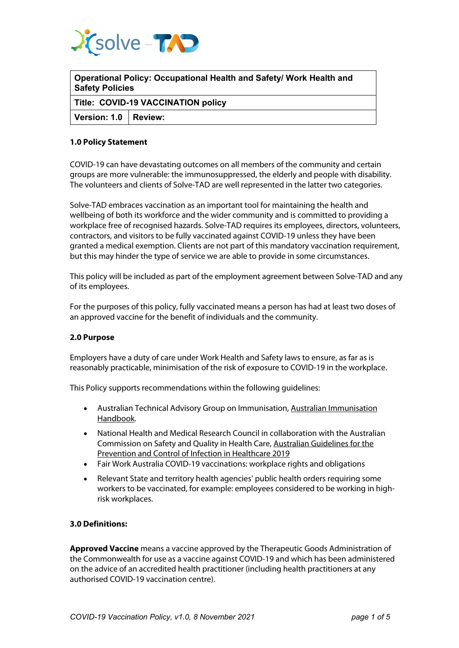

**Operational Policy: Occupational Health and Safety/ Work Health and Safety Policies**

**Title: COVID-19 VACCINATION policy**

**Version: 1.0 Review:**

## **1.0 Policy Statement**

COVID-19 can have devastating outcomes on all members of the community and certain groups are more vulnerable: the immunosuppressed, the elderly and people with disability. The volunteers and clients of Solve-TAD are well represented in the latter two categories.

Solve-TAD embraces vaccination as an important tool for maintaining the health and wellbeing of both its workforce and the wider community and is committed to providing a workplace free of recognised hazards. Solve-TAD requires its employees, directors, volunteers, contractors, and visitors to be fully vaccinated against COVID-19 unless they have been granted a medical exemption. Clients are not part of this mandatory vaccination requirement, but this may hinder the type of service we are able to provide in some circumstances.

This policy will be included as part of the employment agreement between Solve-TAD and any of its employees.

For the purposes of this policy, fully vaccinated means a person has had at least two doses of an approved vaccine for the benefit of individuals and the community.

## **2.0 Purpose**

Employers have a duty of care under Work Health and Safety laws to ensure, as far as is reasonably practicable, minimisation of the risk of exposure to COVID-19 in the workplace.

This Policy supports recommendations within the following guidelines:

- Australian Technical Advisory Group on Immunisation, Australian Immunisation Handbook.
- National Health and Medical Research Council in collaboration with the Australian Commission on Safety and Quality in Health Care, Australian Guidelines for the Prevention and Control of Infection in Healthcare 2019
- Fair Work Australia COVID-19 vaccinations: workplace rights and obligations
- Relevant State and territory health agencies' public health orders requiring some workers to be vaccinated, for example: employees considered to be working in highrisk workplaces.

## **3.0 Definitions:**

**Approved Vaccine** means a vaccine approved by the Therapeutic Goods Administration of the Commonwealth for use as a vaccine against COVID-19 and which has been administered on the advice of an accredited health practitioner (including health practitioners at any authorised COVID-19 vaccination centre).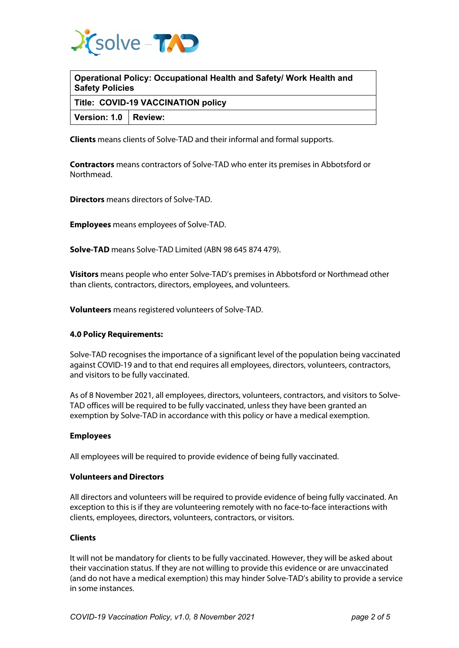

| Operational Policy: Occupational Health and Safety/ Work Health and |  |
|---------------------------------------------------------------------|--|
| <b>Safety Policies</b>                                              |  |

**Title: COVID-19 VACCINATION policy**

**Version: 1.0 Review:**

**Clients** means clients of Solve-TAD and their informal and formal supports.

**Contractors** means contractors of Solve-TAD who enter its premises in Abbotsford or Northmead.

**Directors** means directors of Solve-TAD.

**Employees** means employees of Solve-TAD.

**Solve-TAD** means Solve-TAD Limited (ABN 98 645 874 479).

**Visitors** means people who enter Solve-TAD's premises in Abbotsford or Northmead other than clients, contractors, directors, employees, and volunteers.

**Volunteers** means registered volunteers of Solve-TAD.

## **4.0 Policy Requirements:**

Solve-TAD recognises the importance of a significant level of the population being vaccinated against COVID-19 and to that end requires all employees, directors, volunteers, contractors, and visitors to be fully vaccinated.

As of 8 November 2021, all employees, directors, volunteers, contractors, and visitors to Solve-TAD offices will be required to be fully vaccinated, unless they have been granted an exemption by Solve-TAD in accordance with this policy or have a medical exemption.

## **Employees**

All employees will be required to provide evidence of being fully vaccinated.

## **Volunteers and Directors**

All directors and volunteers will be required to provide evidence of being fully vaccinated. An exception to this is if they are volunteering remotely with no face-to-face interactions with clients, employees, directors, volunteers, contractors, or visitors.

## **Clients**

It will not be mandatory for clients to be fully vaccinated. However, they will be asked about their vaccination status. If they are not willing to provide this evidence or are unvaccinated (and do not have a medical exemption) this may hinder Solve-TAD's ability to provide a service in some instances.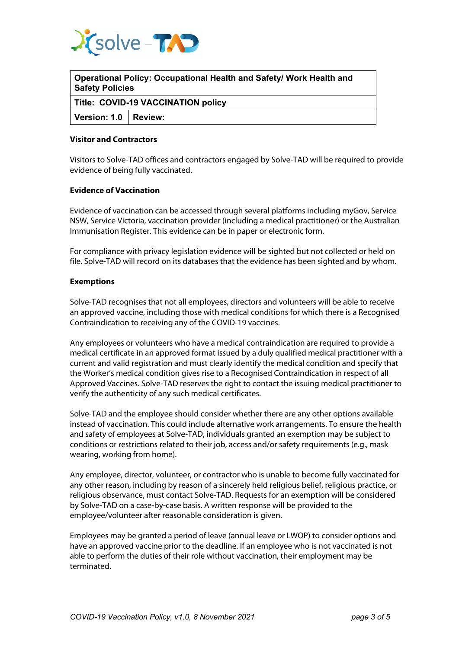

| Operational Policy: Occupational Health and Safety/ Work Health and<br>Safety Policies |  |  |
|----------------------------------------------------------------------------------------|--|--|
| Title: COVID-19 VACCINATION policy                                                     |  |  |
| Version: 1.0   Review:                                                                 |  |  |
|                                                                                        |  |  |

# **Visitor and Contractors**

Visitors to Solve-TAD offices and contractors engaged by Solve-TAD will be required to provide evidence of being fully vaccinated.

#### **Evidence of Vaccination**

Evidence of vaccination can be accessed through several platforms including myGov, Service NSW, Service Victoria, vaccination provider (including a medical practitioner) or the Australian Immunisation Register. This evidence can be in paper or electronic form.

For compliance with privacy legislation evidence will be sighted but not collected or held on file. Solve-TAD will record on its databases that the evidence has been sighted and by whom.

#### **Exemptions**

Solve-TAD recognises that not all employees, directors and volunteers will be able to receive an approved vaccine, including those with medical conditions for which there is a Recognised Contraindication to receiving any of the COVID-19 vaccines.

Any employees or volunteers who have a medical contraindication are required to provide a medical certificate in an approved format issued by a duly qualified medical practitioner with a current and valid registration and must clearly identify the medical condition and specify that the Worker's medical condition gives rise to a Recognised Contraindication in respect of all Approved Vaccines. Solve-TAD reserves the right to contact the issuing medical practitioner to verify the authenticity of any such medical certificates.

Solve-TAD and the employee should consider whether there are any other options available instead of vaccination. This could include alternative work arrangements. To ensure the health and safety of employees at Solve-TAD, individuals granted an exemption may be subject to conditions or restrictions related to their job, access and/or safety requirements (e.g., mask wearing, working from home).

Any employee, director, volunteer, or contractor who is unable to become fully vaccinated for any other reason, including by reason of a sincerely held religious belief, religious practice, or religious observance, must contact Solve-TAD. Requests for an exemption will be considered by Solve-TAD on a case-by-case basis. A written response will be provided to the employee/volunteer after reasonable consideration is given.

Employees may be granted a period of leave (annual leave or LWOP) to consider options and have an approved vaccine prior to the deadline. If an employee who is not vaccinated is not able to perform the duties of their role without vaccination, their employment may be terminated.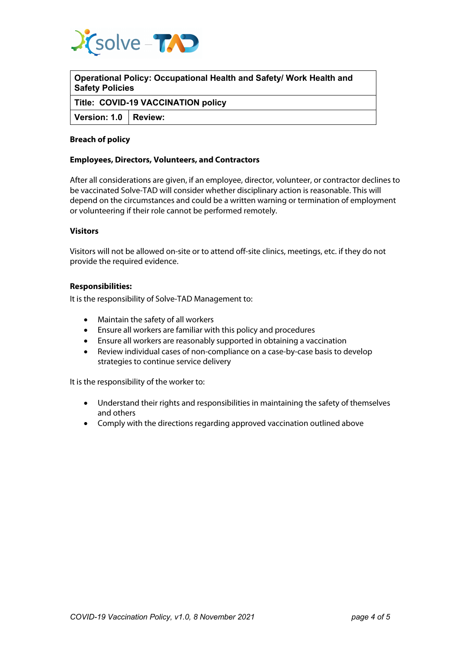

**Operational Policy: Occupational Health and Safety/ Work Health and Safety Policies**

**Title: COVID-19 VACCINATION policy**

**Version: 1.0 Review:**

# **Breach of policy**

# **Employees, Directors, Volunteers, and Contractors**

After all considerations are given, if an employee, director, volunteer, or contractor declines to be vaccinated Solve-TAD will consider whether disciplinary action is reasonable. This will depend on the circumstances and could be a written warning or termination of employment or volunteering if their role cannot be performed remotely.

## **Visitors**

Visitors will not be allowed on-site or to attend off-site clinics, meetings, etc. if they do not provide the required evidence.

## **Responsibilities:**

It is the responsibility of Solve-TAD Management to:

- Maintain the safety of all workers
- Ensure all workers are familiar with this policy and procedures
- Ensure all workers are reasonably supported in obtaining a vaccination
- Review individual cases of non-compliance on a case-by-case basis to develop strategies to continue service delivery

It is the responsibility of the worker to:

- Understand their rights and responsibilities in maintaining the safety of themselves and others
- Comply with the directions regarding approved vaccination outlined above